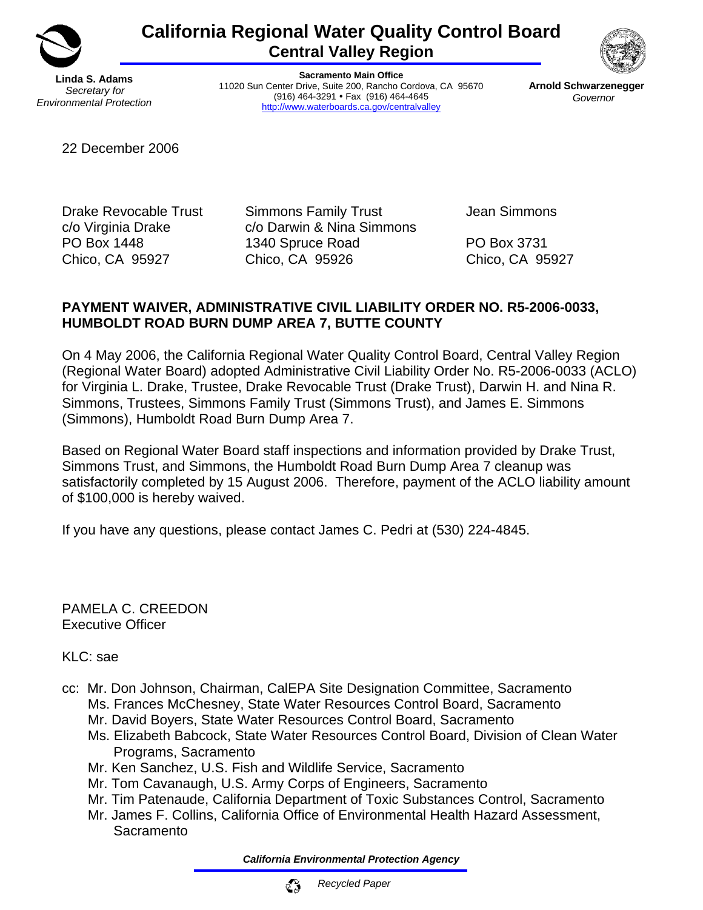

# **California Regional Water Quality Control Board Central Valley Region**

**Linda S. Adams**  *Secretary for Environmental Protection* 

**Sacramento Main Office**  11020 Sun Center Drive, Suite 200, Rancho Cordova, CA 95670 (916) 464-3291 • Fax (916) 464-4645 http://www.waterboards.ca.gov/centralvalley



**Arnold Schwarzenegger**  *Governor* 

22 December 2006

Drake Revocable Trust Simmons Family Trust Jean Simmons c/o Virginia Drake c/o Darwin & Nina Simmons PO Box 1448 1340 Spruce Road PO Box 3731 Chico, CA 95927 Chico, CA 95926 Chico, CA 95927

# **PAYMENT WAIVER, ADMINISTRATIVE CIVIL LIABILITY ORDER NO. R5-2006-0033, HUMBOLDT ROAD BURN DUMP AREA 7, BUTTE COUNTY**

On 4 May 2006, the California Regional Water Quality Control Board, Central Valley Region (Regional Water Board) adopted Administrative Civil Liability Order No. R5-2006-0033 (ACLO) for Virginia L. Drake, Trustee, Drake Revocable Trust (Drake Trust), Darwin H. and Nina R. Simmons, Trustees, Simmons Family Trust (Simmons Trust), and James E. Simmons (Simmons), Humboldt Road Burn Dump Area 7.

Based on Regional Water Board staff inspections and information provided by Drake Trust, Simmons Trust, and Simmons, the Humboldt Road Burn Dump Area 7 cleanup was satisfactorily completed by 15 August 2006. Therefore, payment of the ACLO liability amount of \$100,000 is hereby waived.

If you have any questions, please contact James C. Pedri at (530) 224-4845.

PAMELA C. CREEDON Executive Officer

KLC: sae

- cc: Mr. Don Johnson, Chairman, CalEPA Site Designation Committee, Sacramento Ms. Frances McChesney, State Water Resources Control Board, Sacramento Mr. David Boyers, State Water Resources Control Board, Sacramento
	- Ms. Elizabeth Babcock, State Water Resources Control Board, Division of Clean Water Programs, Sacramento
	- Mr. Ken Sanchez, U.S. Fish and Wildlife Service, Sacramento
	- Mr. Tom Cavanaugh, U.S. Army Corps of Engineers, Sacramento
	- Mr. Tim Patenaude, California Department of Toxic Substances Control, Sacramento
	- Mr. James F. Collins, California Office of Environmental Health Hazard Assessment, **Sacramento**

*California Environmental Protection Agency*

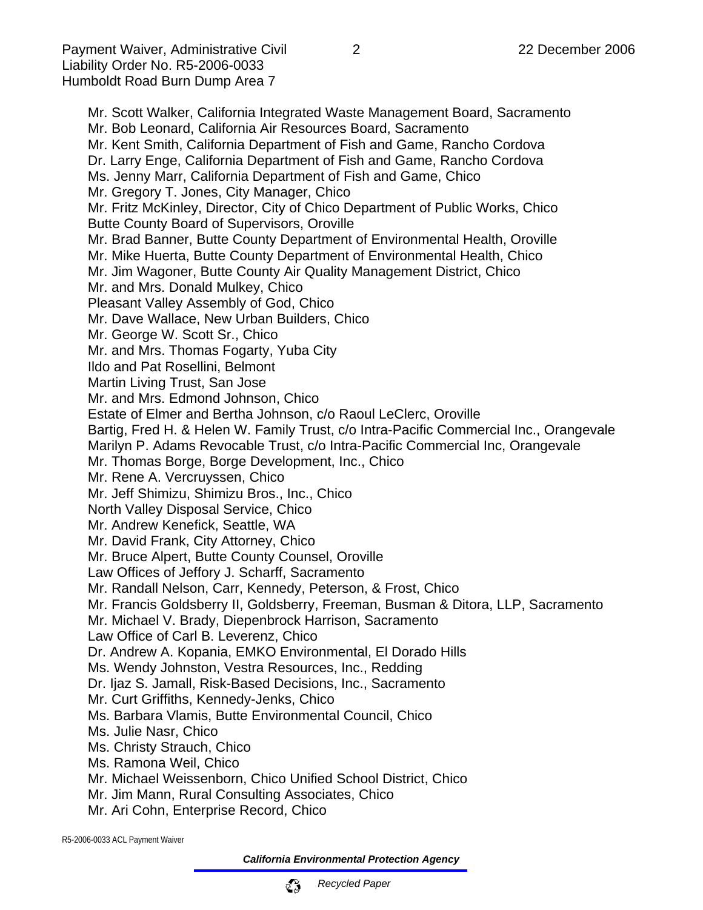Mr. Scott Walker, California Integrated Waste Management Board, Sacramento Mr. Bob Leonard, California Air Resources Board, Sacramento Mr. Kent Smith, California Department of Fish and Game, Rancho Cordova Dr. Larry Enge, California Department of Fish and Game, Rancho Cordova Ms. Jenny Marr, California Department of Fish and Game, Chico Mr. Gregory T. Jones, City Manager, Chico Mr. Fritz McKinley, Director, City of Chico Department of Public Works, Chico Butte County Board of Supervisors, Oroville Mr. Brad Banner, Butte County Department of Environmental Health, Oroville Mr. Mike Huerta, Butte County Department of Environmental Health, Chico Mr. Jim Wagoner, Butte County Air Quality Management District, Chico Mr. and Mrs. Donald Mulkey, Chico Pleasant Valley Assembly of God, Chico Mr. Dave Wallace, New Urban Builders, Chico Mr. George W. Scott Sr., Chico Mr. and Mrs. Thomas Fogarty, Yuba City Ildo and Pat Rosellini, Belmont Martin Living Trust, San Jose Mr. and Mrs. Edmond Johnson, Chico Estate of Elmer and Bertha Johnson, c/o Raoul LeClerc, Oroville Bartig, Fred H. & Helen W. Family Trust, c/o Intra-Pacific Commercial Inc., Orangevale Marilyn P. Adams Revocable Trust, c/o Intra-Pacific Commercial Inc, Orangevale Mr. Thomas Borge, Borge Development, Inc., Chico Mr. Rene A. Vercruyssen, Chico Mr. Jeff Shimizu, Shimizu Bros., Inc., Chico North Valley Disposal Service, Chico Mr. Andrew Kenefick, Seattle, WA Mr. David Frank, City Attorney, Chico Mr. Bruce Alpert, Butte County Counsel, Oroville Law Offices of Jeffory J. Scharff, Sacramento Mr. Randall Nelson, Carr, Kennedy, Peterson, & Frost, Chico Mr. Francis Goldsberry II, Goldsberry, Freeman, Busman & Ditora, LLP, Sacramento Mr. Michael V. Brady, Diepenbrock Harrison, Sacramento Law Office of Carl B. Leverenz, Chico Dr. Andrew A. Kopania, EMKO Environmental, El Dorado Hills Ms. Wendy Johnston, Vestra Resources, Inc., Redding Dr. Ijaz S. Jamall, Risk-Based Decisions, Inc., Sacramento Mr. Curt Griffiths, Kennedy-Jenks, Chico Ms. Barbara Vlamis, Butte Environmental Council, Chico Ms. Julie Nasr, Chico Ms. Christy Strauch, Chico Ms. Ramona Weil, Chico Mr. Michael Weissenborn, Chico Unified School District, Chico Mr. Jim Mann, Rural Consulting Associates, Chico Mr. Ari Cohn, Enterprise Record, Chico

R5-2006-0033 ACL Payment Waiver

*California Environmental Protection Agency*

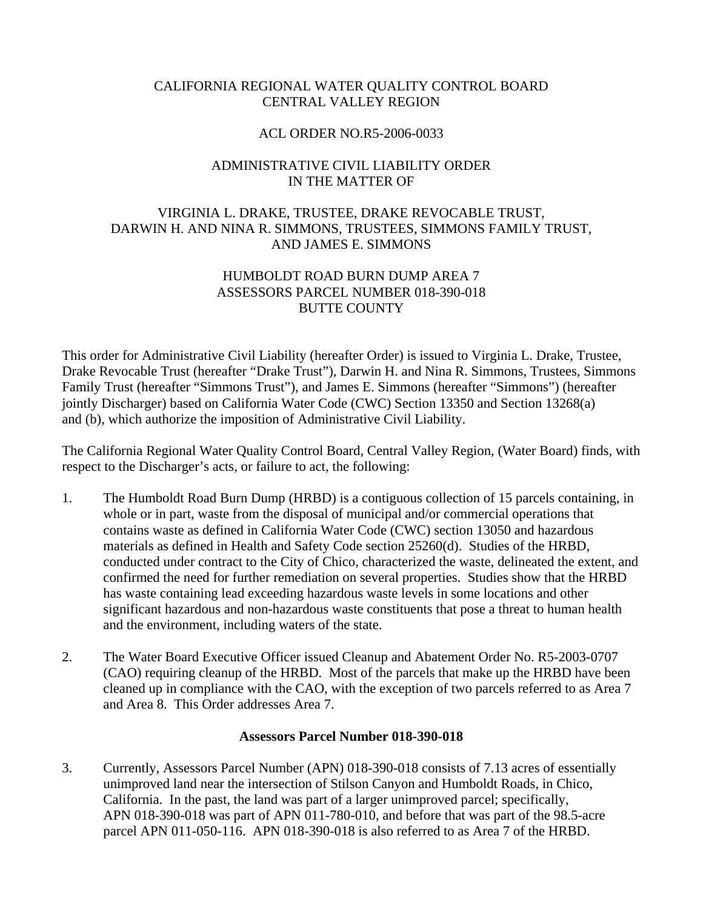# CALIFORNIA REGIONAL WATER QUALITY CONTROL BOARD CENTRAL VALLEY REGION

## ACL ORDER NO.R5-2006-0033

# ADMINISTRATIVE CIVIL LIABILITY ORDER IN THE MATTER OF

# VIRGINIA L. DRAKE, TRUSTEE, DRAKE REVOCABLE TRUST, DARWIN H. AND NINA R. SIMMONS, TRUSTEES, SIMMONS FAMILY TRUST, AND JAMES E. SIMMONS

# HUMBOLDT ROAD BURN DUMP AREA 7 ASSESSORS PARCEL NUMBER 018-390-018 BUTTE COUNTY

This order for Administrative Civil Liability (hereafter Order) is issued to Virginia L. Drake, Trustee, Drake Revocable Trust (hereafter "Drake Trust"), Darwin H. and Nina R. Simmons, Trustees, Simmons Family Trust (hereafter "Simmons Trust"), and James E. Simmons (hereafter "Simmons") (hereafter jointly Discharger) based on California Water Code (CWC) Section 13350 and Section 13268(a) and (b), which authorize the imposition of Administrative Civil Liability.

The California Regional Water Quality Control Board, Central Valley Region, (Water Board) finds, with respect to the Discharger's acts, or failure to act, the following:

- 1. The Humboldt Road Burn Dump (HRBD) is a contiguous collection of 15 parcels containing, in whole or in part, waste from the disposal of municipal and/or commercial operations that contains waste as defined in California Water Code (CWC) section 13050 and hazardous materials as defined in Health and Safety Code section 25260(d). Studies of the HRBD, conducted under contract to the City of Chico, characterized the waste, delineated the extent, and confirmed the need for further remediation on several properties. Studies show that the HRBD has waste containing lead exceeding hazardous waste levels in some locations and other significant hazardous and non-hazardous waste constituents that pose a threat to human health and the environment, including waters of the state.
- 2. The Water Board Executive Officer issued Cleanup and Abatement Order No. R5-2003-0707 (CAO) requiring cleanup of the HRBD. Most of the parcels that make up the HRBD have been cleaned up in compliance with the CAO, with the exception of two parcels referred to as Area 7 and Area 8. This Order addresses Area 7.

## **Assessors Parcel Number 018-390-018**

3. Currently, Assessors Parcel Number (APN) 018-390-018 consists of 7.13 acres of essentially unimproved land near the intersection of Stilson Canyon and Humboldt Roads, in Chico, California. In the past, the land was part of a larger unimproved parcel; specifically, APN 018-390-018 was part of APN 011-780-010, and before that was part of the 98.5-acre parcel APN 011-050-116. APN 018-390-018 is also referred to as Area 7 of the HRBD.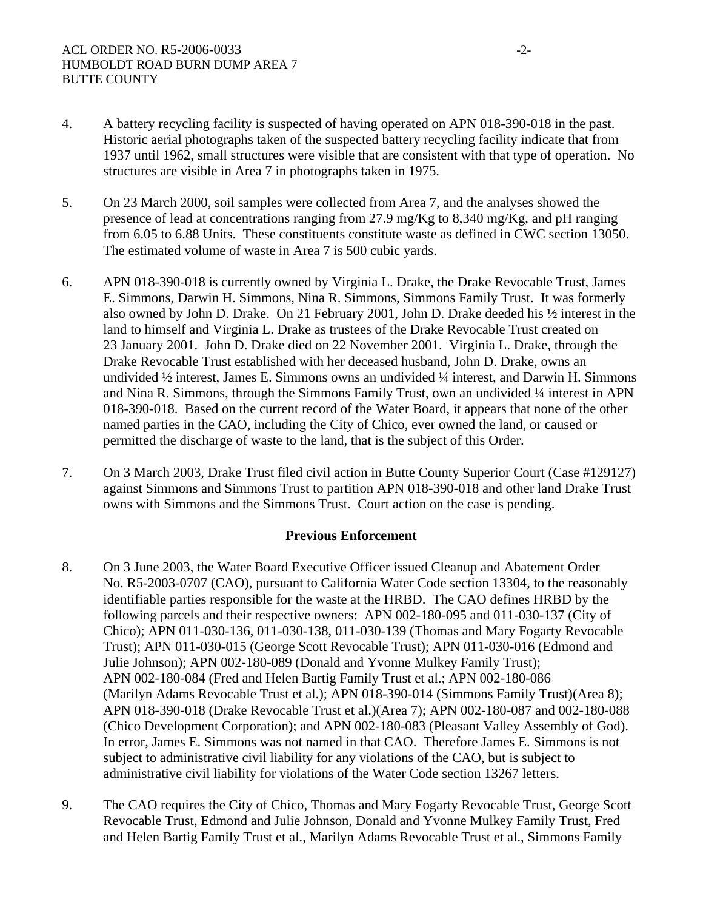- 4. A battery recycling facility is suspected of having operated on APN 018-390-018 in the past. Historic aerial photographs taken of the suspected battery recycling facility indicate that from 1937 until 1962, small structures were visible that are consistent with that type of operation. No structures are visible in Area 7 in photographs taken in 1975.
- 5. On 23 March 2000, soil samples were collected from Area 7, and the analyses showed the presence of lead at concentrations ranging from 27.9 mg/Kg to 8,340 mg/Kg, and pH ranging from 6.05 to 6.88 Units. These constituents constitute waste as defined in CWC section 13050. The estimated volume of waste in Area 7 is 500 cubic yards.
- 6. APN 018-390-018 is currently owned by Virginia L. Drake, the Drake Revocable Trust, James E. Simmons, Darwin H. Simmons, Nina R. Simmons, Simmons Family Trust. It was formerly also owned by John D. Drake. On 21 February 2001, John D. Drake deeded his ½ interest in the land to himself and Virginia L. Drake as trustees of the Drake Revocable Trust created on 23 January 2001. John D. Drake died on 22 November 2001. Virginia L. Drake, through the Drake Revocable Trust established with her deceased husband, John D. Drake, owns an undivided ½ interest, James E. Simmons owns an undivided ¼ interest, and Darwin H. Simmons and Nina R. Simmons, through the Simmons Family Trust, own an undivided  $\frac{1}{4}$  interest in APN 018-390-018. Based on the current record of the Water Board, it appears that none of the other named parties in the CAO, including the City of Chico, ever owned the land, or caused or permitted the discharge of waste to the land, that is the subject of this Order.
- 7. On 3 March 2003, Drake Trust filed civil action in Butte County Superior Court (Case #129127) against Simmons and Simmons Trust to partition APN 018-390-018 and other land Drake Trust owns with Simmons and the Simmons Trust. Court action on the case is pending.

#### **Previous Enforcement**

- 8. On 3 June 2003, the Water Board Executive Officer issued Cleanup and Abatement Order No. R5-2003-0707 (CAO), pursuant to California Water Code section 13304, to the reasonably identifiable parties responsible for the waste at the HRBD. The CAO defines HRBD by the following parcels and their respective owners: APN 002-180-095 and 011-030-137 (City of Chico); APN 011-030-136, 011-030-138, 011-030-139 (Thomas and Mary Fogarty Revocable Trust); APN 011-030-015 (George Scott Revocable Trust); APN 011-030-016 (Edmond and Julie Johnson); APN 002-180-089 (Donald and Yvonne Mulkey Family Trust); APN 002-180-084 (Fred and Helen Bartig Family Trust et al.; APN 002-180-086 (Marilyn Adams Revocable Trust et al.); APN 018-390-014 (Simmons Family Trust)(Area 8); APN 018-390-018 (Drake Revocable Trust et al.)(Area 7); APN 002-180-087 and 002-180-088 (Chico Development Corporation); and APN 002-180-083 (Pleasant Valley Assembly of God). In error, James E. Simmons was not named in that CAO. Therefore James E. Simmons is not subject to administrative civil liability for any violations of the CAO, but is subject to administrative civil liability for violations of the Water Code section 13267 letters.
- 9. The CAO requires the City of Chico, Thomas and Mary Fogarty Revocable Trust, George Scott Revocable Trust, Edmond and Julie Johnson, Donald and Yvonne Mulkey Family Trust, Fred and Helen Bartig Family Trust et al., Marilyn Adams Revocable Trust et al., Simmons Family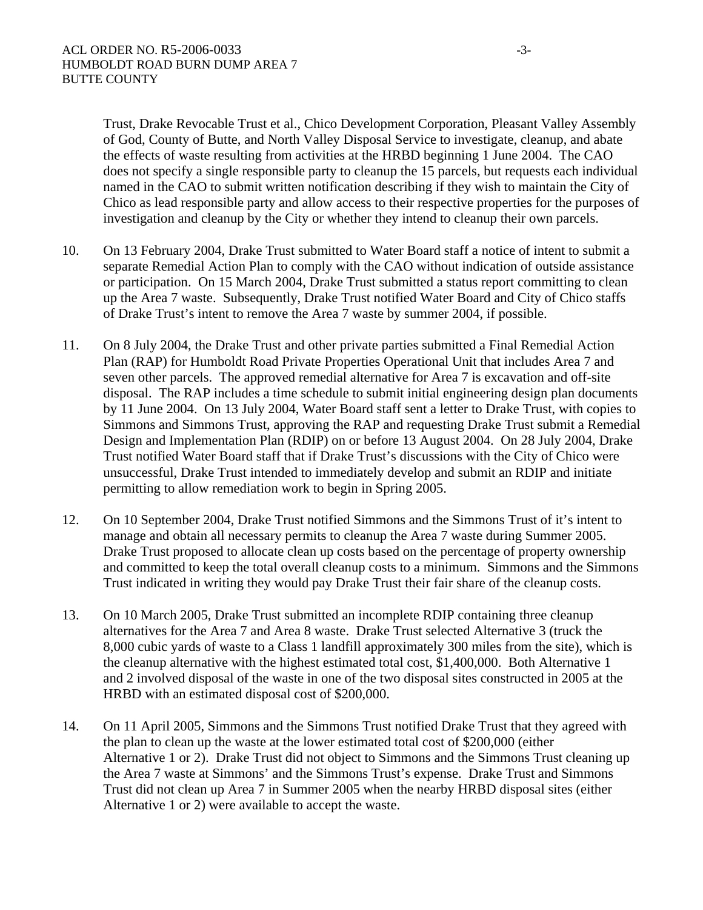Trust, Drake Revocable Trust et al., Chico Development Corporation, Pleasant Valley Assembly of God, County of Butte, and North Valley Disposal Service to investigate, cleanup, and abate the effects of waste resulting from activities at the HRBD beginning 1 June 2004. The CAO does not specify a single responsible party to cleanup the 15 parcels, but requests each individual named in the CAO to submit written notification describing if they wish to maintain the City of Chico as lead responsible party and allow access to their respective properties for the purposes of investigation and cleanup by the City or whether they intend to cleanup their own parcels.

- 10. On 13 February 2004, Drake Trust submitted to Water Board staff a notice of intent to submit a separate Remedial Action Plan to comply with the CAO without indication of outside assistance or participation. On 15 March 2004, Drake Trust submitted a status report committing to clean up the Area 7 waste. Subsequently, Drake Trust notified Water Board and City of Chico staffs of Drake Trust's intent to remove the Area 7 waste by summer 2004, if possible.
- 11. On 8 July 2004, the Drake Trust and other private parties submitted a Final Remedial Action Plan (RAP) for Humboldt Road Private Properties Operational Unit that includes Area 7 and seven other parcels. The approved remedial alternative for Area 7 is excavation and off-site disposal. The RAP includes a time schedule to submit initial engineering design plan documents by 11 June 2004. On 13 July 2004, Water Board staff sent a letter to Drake Trust, with copies to Simmons and Simmons Trust, approving the RAP and requesting Drake Trust submit a Remedial Design and Implementation Plan (RDIP) on or before 13 August 2004. On 28 July 2004, Drake Trust notified Water Board staff that if Drake Trust's discussions with the City of Chico were unsuccessful, Drake Trust intended to immediately develop and submit an RDIP and initiate permitting to allow remediation work to begin in Spring 2005.
- 12. On 10 September 2004, Drake Trust notified Simmons and the Simmons Trust of it's intent to manage and obtain all necessary permits to cleanup the Area 7 waste during Summer 2005. Drake Trust proposed to allocate clean up costs based on the percentage of property ownership and committed to keep the total overall cleanup costs to a minimum. Simmons and the Simmons Trust indicated in writing they would pay Drake Trust their fair share of the cleanup costs.
- 13. On 10 March 2005, Drake Trust submitted an incomplete RDIP containing three cleanup alternatives for the Area 7 and Area 8 waste. Drake Trust selected Alternative 3 (truck the 8,000 cubic yards of waste to a Class 1 landfill approximately 300 miles from the site), which is the cleanup alternative with the highest estimated total cost, \$1,400,000. Both Alternative 1 and 2 involved disposal of the waste in one of the two disposal sites constructed in 2005 at the HRBD with an estimated disposal cost of \$200,000.
- 14. On 11 April 2005, Simmons and the Simmons Trust notified Drake Trust that they agreed with the plan to clean up the waste at the lower estimated total cost of \$200,000 (either Alternative 1 or 2). Drake Trust did not object to Simmons and the Simmons Trust cleaning up the Area 7 waste at Simmons' and the Simmons Trust's expense. Drake Trust and Simmons Trust did not clean up Area 7 in Summer 2005 when the nearby HRBD disposal sites (either Alternative 1 or 2) were available to accept the waste.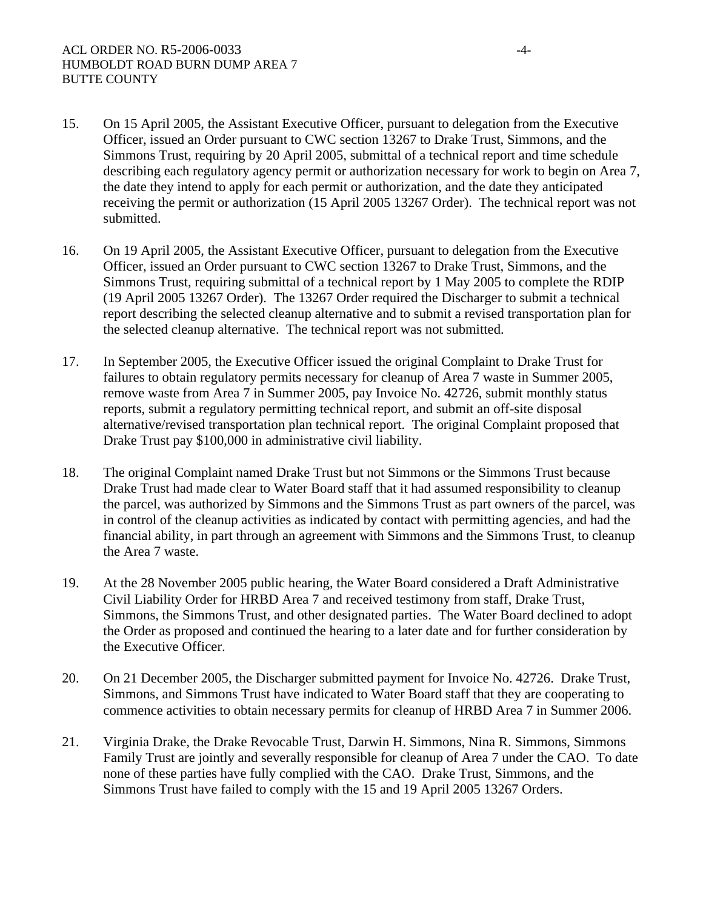- 15. On 15 April 2005, the Assistant Executive Officer, pursuant to delegation from the Executive Officer, issued an Order pursuant to CWC section 13267 to Drake Trust, Simmons, and the Simmons Trust, requiring by 20 April 2005, submittal of a technical report and time schedule describing each regulatory agency permit or authorization necessary for work to begin on Area 7, the date they intend to apply for each permit or authorization, and the date they anticipated receiving the permit or authorization (15 April 2005 13267 Order). The technical report was not submitted.
- 16. On 19 April 2005, the Assistant Executive Officer, pursuant to delegation from the Executive Officer, issued an Order pursuant to CWC section 13267 to Drake Trust, Simmons, and the Simmons Trust, requiring submittal of a technical report by 1 May 2005 to complete the RDIP (19 April 2005 13267 Order). The 13267 Order required the Discharger to submit a technical report describing the selected cleanup alternative and to submit a revised transportation plan for the selected cleanup alternative. The technical report was not submitted.
- 17. In September 2005, the Executive Officer issued the original Complaint to Drake Trust for failures to obtain regulatory permits necessary for cleanup of Area 7 waste in Summer 2005, remove waste from Area 7 in Summer 2005, pay Invoice No. 42726, submit monthly status reports, submit a regulatory permitting technical report, and submit an off-site disposal alternative/revised transportation plan technical report. The original Complaint proposed that Drake Trust pay \$100,000 in administrative civil liability.
- 18. The original Complaint named Drake Trust but not Simmons or the Simmons Trust because Drake Trust had made clear to Water Board staff that it had assumed responsibility to cleanup the parcel, was authorized by Simmons and the Simmons Trust as part owners of the parcel, was in control of the cleanup activities as indicated by contact with permitting agencies, and had the financial ability, in part through an agreement with Simmons and the Simmons Trust, to cleanup the Area 7 waste.
- 19. At the 28 November 2005 public hearing, the Water Board considered a Draft Administrative Civil Liability Order for HRBD Area 7 and received testimony from staff, Drake Trust, Simmons, the Simmons Trust, and other designated parties. The Water Board declined to adopt the Order as proposed and continued the hearing to a later date and for further consideration by the Executive Officer.
- 20. On 21 December 2005, the Discharger submitted payment for Invoice No. 42726. Drake Trust, Simmons, and Simmons Trust have indicated to Water Board staff that they are cooperating to commence activities to obtain necessary permits for cleanup of HRBD Area 7 in Summer 2006.
- 21. Virginia Drake, the Drake Revocable Trust, Darwin H. Simmons, Nina R. Simmons, Simmons Family Trust are jointly and severally responsible for cleanup of Area 7 under the CAO. To date none of these parties have fully complied with the CAO. Drake Trust, Simmons, and the Simmons Trust have failed to comply with the 15 and 19 April 2005 13267 Orders.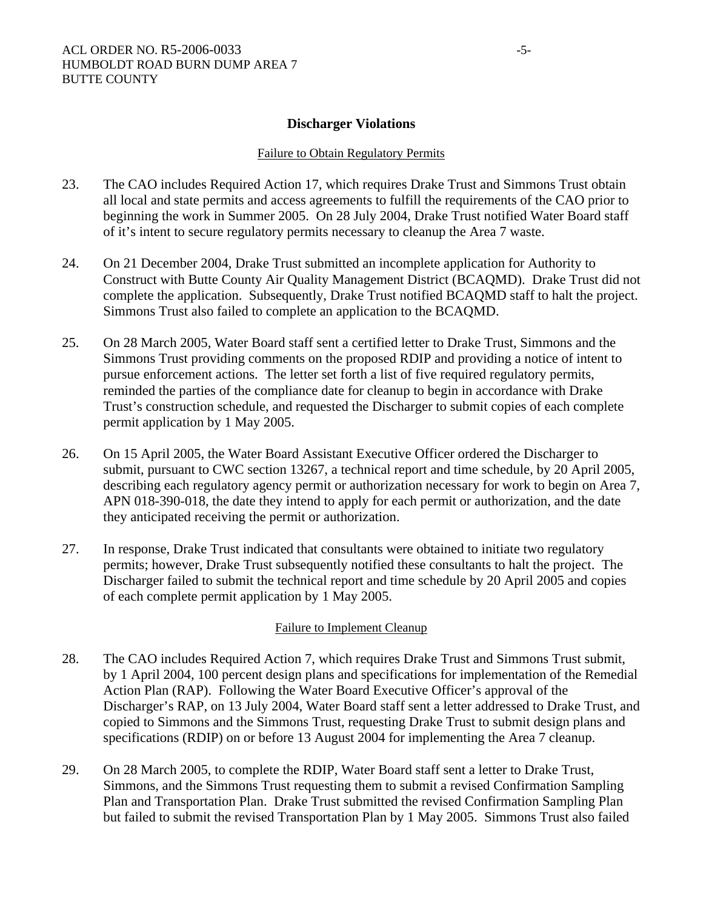## **Discharger Violations**

#### Failure to Obtain Regulatory Permits

- 23. The CAO includes Required Action 17, which requires Drake Trust and Simmons Trust obtain all local and state permits and access agreements to fulfill the requirements of the CAO prior to beginning the work in Summer 2005. On 28 July 2004, Drake Trust notified Water Board staff of it's intent to secure regulatory permits necessary to cleanup the Area 7 waste.
- 24. On 21 December 2004, Drake Trust submitted an incomplete application for Authority to Construct with Butte County Air Quality Management District (BCAQMD). Drake Trust did not complete the application. Subsequently, Drake Trust notified BCAQMD staff to halt the project. Simmons Trust also failed to complete an application to the BCAQMD.
- 25. On 28 March 2005, Water Board staff sent a certified letter to Drake Trust, Simmons and the Simmons Trust providing comments on the proposed RDIP and providing a notice of intent to pursue enforcement actions. The letter set forth a list of five required regulatory permits, reminded the parties of the compliance date for cleanup to begin in accordance with Drake Trust's construction schedule, and requested the Discharger to submit copies of each complete permit application by 1 May 2005.
- 26. On 15 April 2005, the Water Board Assistant Executive Officer ordered the Discharger to submit, pursuant to CWC section 13267, a technical report and time schedule, by 20 April 2005, describing each regulatory agency permit or authorization necessary for work to begin on Area 7, APN 018-390-018, the date they intend to apply for each permit or authorization, and the date they anticipated receiving the permit or authorization.
- 27. In response, Drake Trust indicated that consultants were obtained to initiate two regulatory permits; however, Drake Trust subsequently notified these consultants to halt the project. The Discharger failed to submit the technical report and time schedule by 20 April 2005 and copies of each complete permit application by 1 May 2005.

## Failure to Implement Cleanup

- 28. The CAO includes Required Action 7, which requires Drake Trust and Simmons Trust submit, by 1 April 2004, 100 percent design plans and specifications for implementation of the Remedial Action Plan (RAP). Following the Water Board Executive Officer's approval of the Discharger's RAP, on 13 July 2004, Water Board staff sent a letter addressed to Drake Trust, and copied to Simmons and the Simmons Trust, requesting Drake Trust to submit design plans and specifications (RDIP) on or before 13 August 2004 for implementing the Area 7 cleanup.
- 29. On 28 March 2005, to complete the RDIP, Water Board staff sent a letter to Drake Trust, Simmons, and the Simmons Trust requesting them to submit a revised Confirmation Sampling Plan and Transportation Plan. Drake Trust submitted the revised Confirmation Sampling Plan but failed to submit the revised Transportation Plan by 1 May 2005. Simmons Trust also failed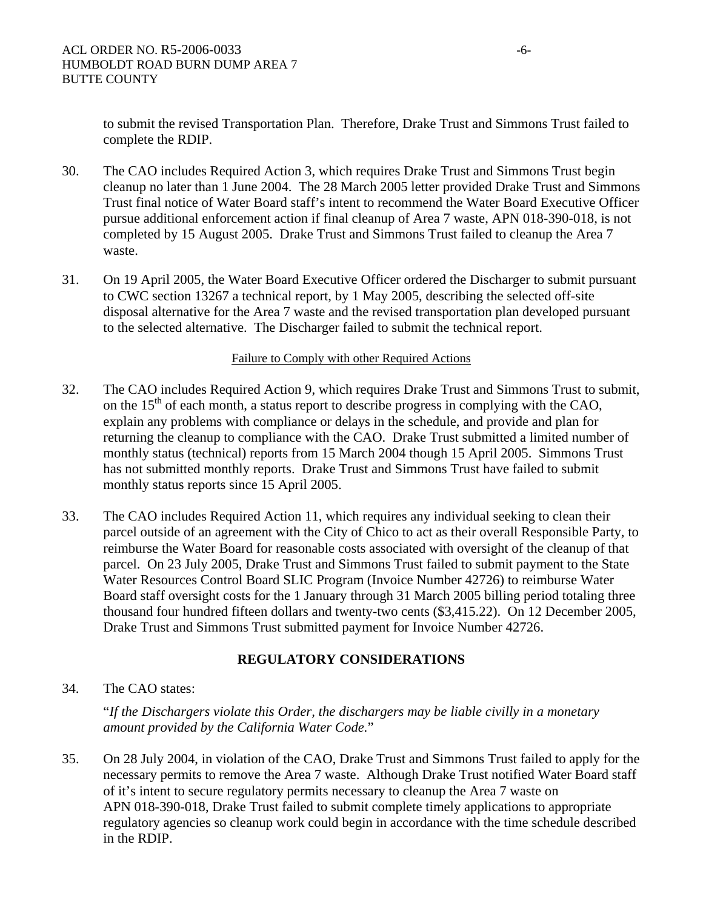to submit the revised Transportation Plan. Therefore, Drake Trust and Simmons Trust failed to complete the RDIP.

- 30. The CAO includes Required Action 3, which requires Drake Trust and Simmons Trust begin cleanup no later than 1 June 2004. The 28 March 2005 letter provided Drake Trust and Simmons Trust final notice of Water Board staff's intent to recommend the Water Board Executive Officer pursue additional enforcement action if final cleanup of Area 7 waste, APN 018-390-018, is not completed by 15 August 2005. Drake Trust and Simmons Trust failed to cleanup the Area 7 waste.
- 31. On 19 April 2005, the Water Board Executive Officer ordered the Discharger to submit pursuant to CWC section 13267 a technical report, by 1 May 2005, describing the selected off-site disposal alternative for the Area 7 waste and the revised transportation plan developed pursuant to the selected alternative. The Discharger failed to submit the technical report.

#### Failure to Comply with other Required Actions

- 32. The CAO includes Required Action 9, which requires Drake Trust and Simmons Trust to submit, on the  $15<sup>th</sup>$  of each month, a status report to describe progress in complying with the CAO, explain any problems with compliance or delays in the schedule, and provide and plan for returning the cleanup to compliance with the CAO. Drake Trust submitted a limited number of monthly status (technical) reports from 15 March 2004 though 15 April 2005. Simmons Trust has not submitted monthly reports. Drake Trust and Simmons Trust have failed to submit monthly status reports since 15 April 2005.
- 33. The CAO includes Required Action 11, which requires any individual seeking to clean their parcel outside of an agreement with the City of Chico to act as their overall Responsible Party, to reimburse the Water Board for reasonable costs associated with oversight of the cleanup of that parcel. On 23 July 2005, Drake Trust and Simmons Trust failed to submit payment to the State Water Resources Control Board SLIC Program (Invoice Number 42726) to reimburse Water Board staff oversight costs for the 1 January through 31 March 2005 billing period totaling three thousand four hundred fifteen dollars and twenty-two cents (\$3,415.22). On 12 December 2005, Drake Trust and Simmons Trust submitted payment for Invoice Number 42726.

## **REGULATORY CONSIDERATIONS**

34. The CAO states:

"*If the Dischargers violate this Order, the dischargers may be liable civilly in a monetary amount provided by the California Water Code.*"

35. On 28 July 2004, in violation of the CAO, Drake Trust and Simmons Trust failed to apply for the necessary permits to remove the Area 7 waste. Although Drake Trust notified Water Board staff of it's intent to secure regulatory permits necessary to cleanup the Area 7 waste on APN 018-390-018, Drake Trust failed to submit complete timely applications to appropriate regulatory agencies so cleanup work could begin in accordance with the time schedule described in the RDIP.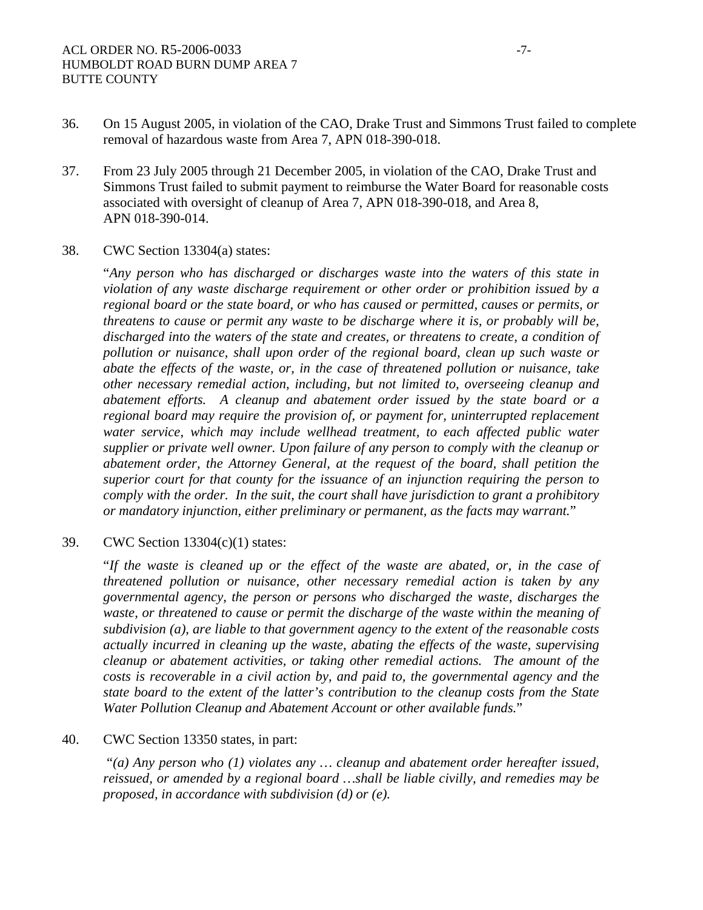- 36. On 15 August 2005, in violation of the CAO, Drake Trust and Simmons Trust failed to complete removal of hazardous waste from Area 7, APN 018-390-018.
- 37. From 23 July 2005 through 21 December 2005, in violation of the CAO, Drake Trust and Simmons Trust failed to submit payment to reimburse the Water Board for reasonable costs associated with oversight of cleanup of Area 7, APN 018-390-018, and Area 8, APN 018-390-014.

#### 38. CWC Section 13304(a) states:

"*Any person who has discharged or discharges waste into the waters of this state in violation of any waste discharge requirement or other order or prohibition issued by a regional board or the state board, or who has caused or permitted, causes or permits, or threatens to cause or permit any waste to be discharge where it is, or probably will be, discharged into the waters of the state and creates, or threatens to create, a condition of pollution or nuisance, shall upon order of the regional board, clean up such waste or abate the effects of the waste, or, in the case of threatened pollution or nuisance, take other necessary remedial action, including, but not limited to, overseeing cleanup and abatement efforts. A cleanup and abatement order issued by the state board or a regional board may require the provision of, or payment for, uninterrupted replacement*  water service, which may include wellhead treatment, to each affected public water *supplier or private well owner. Upon failure of any person to comply with the cleanup or abatement order, the Attorney General, at the request of the board, shall petition the superior court for that county for the issuance of an injunction requiring the person to comply with the order. In the suit, the court shall have jurisdiction to grant a prohibitory or mandatory injunction, either preliminary or permanent, as the facts may warrant.*"

## 39. CWC Section 13304(c)(1) states:

"*If the waste is cleaned up or the effect of the waste are abated, or, in the case of threatened pollution or nuisance, other necessary remedial action is taken by any governmental agency, the person or persons who discharged the waste, discharges the waste, or threatened to cause or permit the discharge of the waste within the meaning of subdivision (a), are liable to that government agency to the extent of the reasonable costs actually incurred in cleaning up the waste, abating the effects of the waste, supervising cleanup or abatement activities, or taking other remedial actions. The amount of the costs is recoverable in a civil action by, and paid to, the governmental agency and the state board to the extent of the latter's contribution to the cleanup costs from the State Water Pollution Cleanup and Abatement Account or other available funds.*"

#### 40. CWC Section 13350 states, in part:

 "*(a) Any person who (1) violates any … cleanup and abatement order hereafter issued, reissued, or amended by a regional board …shall be liable civilly, and remedies may be proposed, in accordance with subdivision (d) or (e).*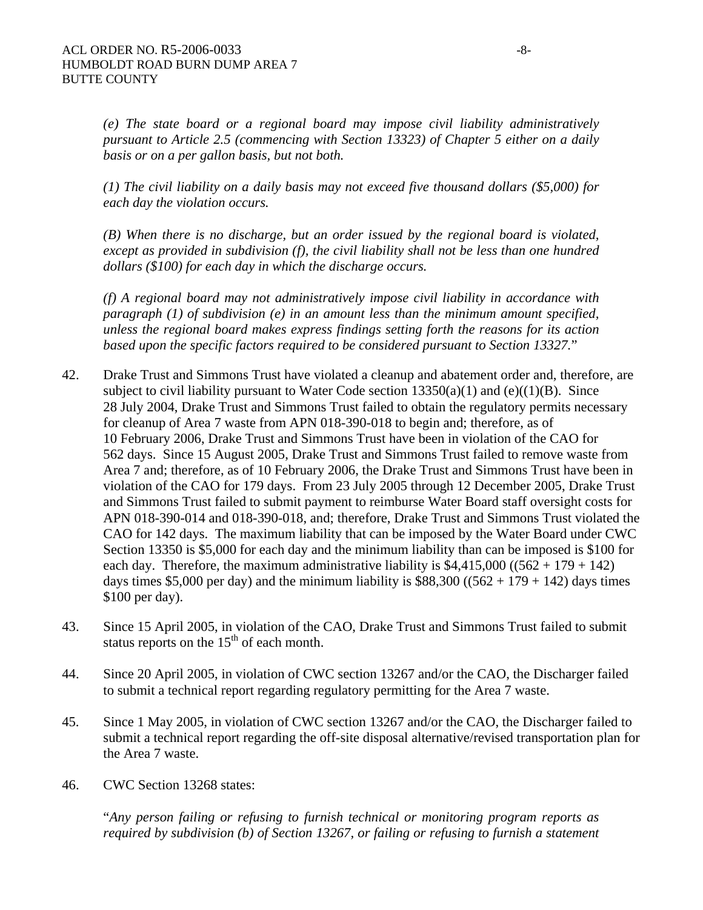*(e) The state board or a regional board may impose civil liability administratively pursuant to Article 2.5 (commencing with Section 13323) of Chapter 5 either on a daily basis or on a per gallon basis, but not both.* 

*(1) The civil liability on a daily basis may not exceed five thousand dollars (\$5,000) for each day the violation occurs.* 

*(B) When there is no discharge, but an order issued by the regional board is violated, except as provided in subdivision (f), the civil liability shall not be less than one hundred dollars (\$100) for each day in which the discharge occurs.* 

*(f) A regional board may not administratively impose civil liability in accordance with paragraph (1) of subdivision (e) in an amount less than the minimum amount specified, unless the regional board makes express findings setting forth the reasons for its action based upon the specific factors required to be considered pursuant to Section 13327.*"

- 42. Drake Trust and Simmons Trust have violated a cleanup and abatement order and, therefore, are subject to civil liability pursuant to Water Code section  $13350(a)(1)$  and  $(e)((1)(B)$ . Since 28 July 2004, Drake Trust and Simmons Trust failed to obtain the regulatory permits necessary for cleanup of Area 7 waste from APN 018-390-018 to begin and; therefore, as of 10 February 2006, Drake Trust and Simmons Trust have been in violation of the CAO for 562 days. Since 15 August 2005, Drake Trust and Simmons Trust failed to remove waste from Area 7 and; therefore, as of 10 February 2006, the Drake Trust and Simmons Trust have been in violation of the CAO for 179 days. From 23 July 2005 through 12 December 2005, Drake Trust and Simmons Trust failed to submit payment to reimburse Water Board staff oversight costs for APN 018-390-014 and 018-390-018, and; therefore, Drake Trust and Simmons Trust violated the CAO for 142 days. The maximum liability that can be imposed by the Water Board under CWC Section 13350 is \$5,000 for each day and the minimum liability than can be imposed is \$100 for each day. Therefore, the maximum administrative liability is  $$4,415,000$  ((562 + 179 + 142) days times \$5,000 per day) and the minimum liability is  $$88,300 ((562 + 179 + 142)$  days times \$100 per day).
- 43. Since 15 April 2005, in violation of the CAO, Drake Trust and Simmons Trust failed to submit status reports on the  $15<sup>th</sup>$  of each month.
- 44. Since 20 April 2005, in violation of CWC section 13267 and/or the CAO, the Discharger failed to submit a technical report regarding regulatory permitting for the Area 7 waste.
- 45. Since 1 May 2005, in violation of CWC section 13267 and/or the CAO, the Discharger failed to submit a technical report regarding the off-site disposal alternative/revised transportation plan for the Area 7 waste.
- 46. CWC Section 13268 states:

"*Any person failing or refusing to furnish technical or monitoring program reports as required by subdivision (b) of Section 13267, or failing or refusing to furnish a statement*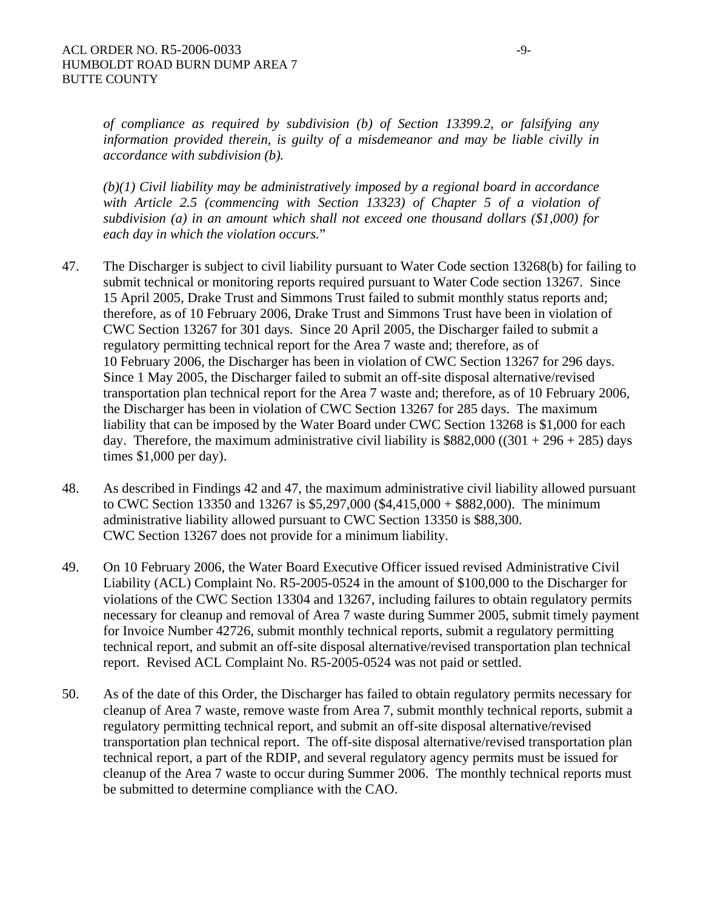*of compliance as required by subdivision (b) of Section 13399.2, or falsifying any information provided therein, is guilty of a misdemeanor and may be liable civilly in accordance with subdivision (b).* 

*(b)(1) Civil liability may be administratively imposed by a regional board in accordance with Article 2.5 (commencing with Section 13323) of Chapter 5 of a violation of subdivision (a) in an amount which shall not exceed one thousand dollars (\$1,000) for each day in which the violation occurs.*"

- 47. The Discharger is subject to civil liability pursuant to Water Code section 13268(b) for failing to submit technical or monitoring reports required pursuant to Water Code section 13267. Since 15 April 2005, Drake Trust and Simmons Trust failed to submit monthly status reports and; therefore, as of 10 February 2006, Drake Trust and Simmons Trust have been in violation of CWC Section 13267 for 301 days. Since 20 April 2005, the Discharger failed to submit a regulatory permitting technical report for the Area 7 waste and; therefore, as of 10 February 2006, the Discharger has been in violation of CWC Section 13267 for 296 days. Since 1 May 2005, the Discharger failed to submit an off-site disposal alternative/revised transportation plan technical report for the Area 7 waste and; therefore, as of 10 February 2006, the Discharger has been in violation of CWC Section 13267 for 285 days. The maximum liability that can be imposed by the Water Board under CWC Section 13268 is \$1,000 for each day. Therefore, the maximum administrative civil liability is  $$882,000 ((301 + 296 + 285)$  days times \$1,000 per day).
- 48. As described in Findings 42 and 47, the maximum administrative civil liability allowed pursuant to CWC Section 13350 and 13267 is \$5,297,000 (\$4,415,000 + \$882,000). The minimum administrative liability allowed pursuant to CWC Section 13350 is \$88,300. CWC Section 13267 does not provide for a minimum liability.
- 49. On 10 February 2006, the Water Board Executive Officer issued revised Administrative Civil Liability (ACL) Complaint No. R5-2005-0524 in the amount of \$100,000 to the Discharger for violations of the CWC Section 13304 and 13267, including failures to obtain regulatory permits necessary for cleanup and removal of Area 7 waste during Summer 2005, submit timely payment for Invoice Number 42726, submit monthly technical reports, submit a regulatory permitting technical report, and submit an off-site disposal alternative/revised transportation plan technical report. Revised ACL Complaint No. R5-2005-0524 was not paid or settled.
- 50. As of the date of this Order, the Discharger has failed to obtain regulatory permits necessary for cleanup of Area 7 waste, remove waste from Area 7, submit monthly technical reports, submit a regulatory permitting technical report, and submit an off-site disposal alternative/revised transportation plan technical report. The off-site disposal alternative/revised transportation plan technical report, a part of the RDIP, and several regulatory agency permits must be issued for cleanup of the Area 7 waste to occur during Summer 2006. The monthly technical reports must be submitted to determine compliance with the CAO.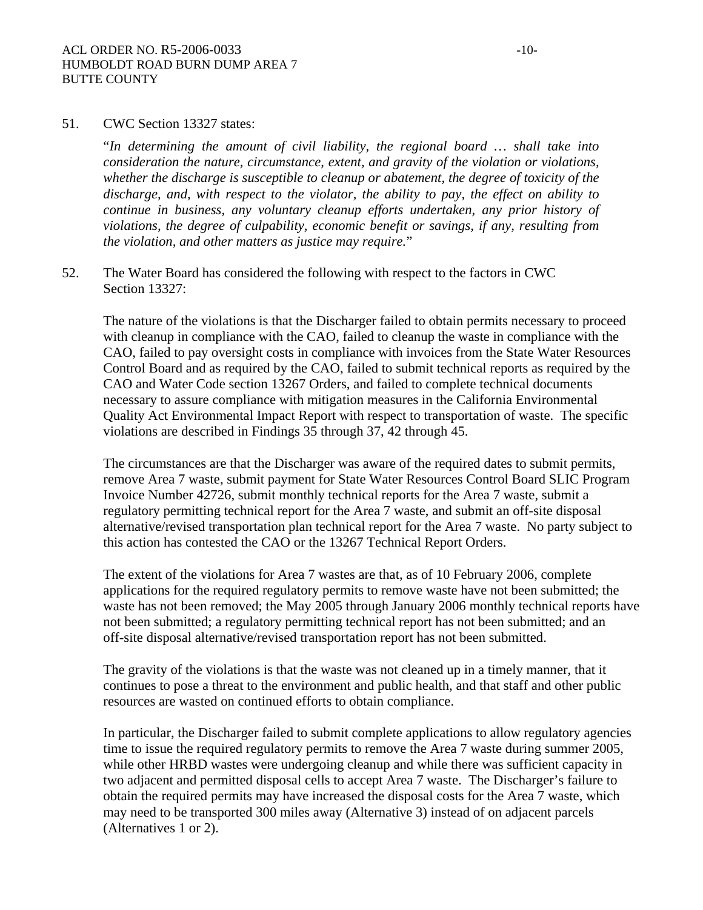#### 51. CWC Section 13327 states:

"*In determining the amount of civil liability, the regional board … shall take into consideration the nature, circumstance, extent, and gravity of the violation or violations, whether the discharge is susceptible to cleanup or abatement, the degree of toxicity of the discharge, and, with respect to the violator, the ability to pay, the effect on ability to continue in business, any voluntary cleanup efforts undertaken, any prior history of violations, the degree of culpability, economic benefit or savings, if any, resulting from the violation, and other matters as justice may require.*"

52. The Water Board has considered the following with respect to the factors in CWC Section 13327:

The nature of the violations is that the Discharger failed to obtain permits necessary to proceed with cleanup in compliance with the CAO, failed to cleanup the waste in compliance with the CAO, failed to pay oversight costs in compliance with invoices from the State Water Resources Control Board and as required by the CAO, failed to submit technical reports as required by the CAO and Water Code section 13267 Orders, and failed to complete technical documents necessary to assure compliance with mitigation measures in the California Environmental Quality Act Environmental Impact Report with respect to transportation of waste. The specific violations are described in Findings 35 through 37, 42 through 45.

The circumstances are that the Discharger was aware of the required dates to submit permits, remove Area 7 waste, submit payment for State Water Resources Control Board SLIC Program Invoice Number 42726, submit monthly technical reports for the Area 7 waste, submit a regulatory permitting technical report for the Area 7 waste, and submit an off-site disposal alternative/revised transportation plan technical report for the Area 7 waste. No party subject to this action has contested the CAO or the 13267 Technical Report Orders.

The extent of the violations for Area 7 wastes are that, as of 10 February 2006, complete applications for the required regulatory permits to remove waste have not been submitted; the waste has not been removed; the May 2005 through January 2006 monthly technical reports have not been submitted; a regulatory permitting technical report has not been submitted; and an off-site disposal alternative/revised transportation report has not been submitted.

The gravity of the violations is that the waste was not cleaned up in a timely manner, that it continues to pose a threat to the environment and public health, and that staff and other public resources are wasted on continued efforts to obtain compliance.

In particular, the Discharger failed to submit complete applications to allow regulatory agencies time to issue the required regulatory permits to remove the Area 7 waste during summer 2005, while other HRBD wastes were undergoing cleanup and while there was sufficient capacity in two adjacent and permitted disposal cells to accept Area 7 waste. The Discharger's failure to obtain the required permits may have increased the disposal costs for the Area 7 waste, which may need to be transported 300 miles away (Alternative 3) instead of on adjacent parcels (Alternatives 1 or 2).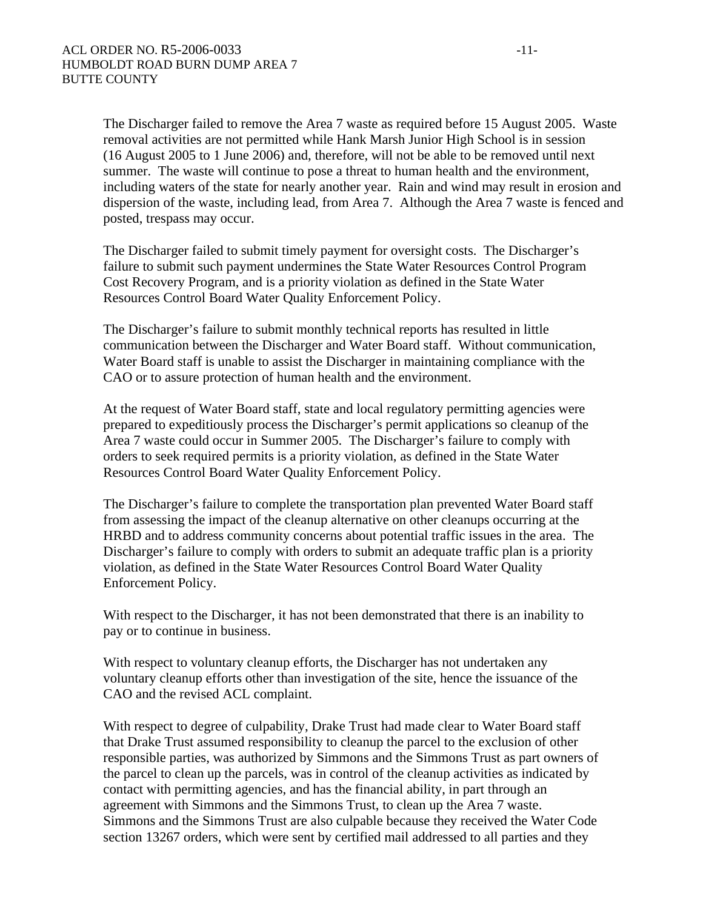The Discharger failed to remove the Area 7 waste as required before 15 August 2005. Waste removal activities are not permitted while Hank Marsh Junior High School is in session (16 August 2005 to 1 June 2006) and, therefore, will not be able to be removed until next summer. The waste will continue to pose a threat to human health and the environment, including waters of the state for nearly another year. Rain and wind may result in erosion and dispersion of the waste, including lead, from Area 7. Although the Area 7 waste is fenced and posted, trespass may occur.

The Discharger failed to submit timely payment for oversight costs. The Discharger's failure to submit such payment undermines the State Water Resources Control Program Cost Recovery Program, and is a priority violation as defined in the State Water Resources Control Board Water Quality Enforcement Policy.

The Discharger's failure to submit monthly technical reports has resulted in little communication between the Discharger and Water Board staff. Without communication, Water Board staff is unable to assist the Discharger in maintaining compliance with the CAO or to assure protection of human health and the environment.

At the request of Water Board staff, state and local regulatory permitting agencies were prepared to expeditiously process the Discharger's permit applications so cleanup of the Area 7 waste could occur in Summer 2005. The Discharger's failure to comply with orders to seek required permits is a priority violation, as defined in the State Water Resources Control Board Water Quality Enforcement Policy.

The Discharger's failure to complete the transportation plan prevented Water Board staff from assessing the impact of the cleanup alternative on other cleanups occurring at the HRBD and to address community concerns about potential traffic issues in the area. The Discharger's failure to comply with orders to submit an adequate traffic plan is a priority violation, as defined in the State Water Resources Control Board Water Quality Enforcement Policy.

With respect to the Discharger, it has not been demonstrated that there is an inability to pay or to continue in business.

With respect to voluntary cleanup efforts, the Discharger has not undertaken any voluntary cleanup efforts other than investigation of the site, hence the issuance of the CAO and the revised ACL complaint.

With respect to degree of culpability, Drake Trust had made clear to Water Board staff that Drake Trust assumed responsibility to cleanup the parcel to the exclusion of other responsible parties, was authorized by Simmons and the Simmons Trust as part owners of the parcel to clean up the parcels, was in control of the cleanup activities as indicated by contact with permitting agencies, and has the financial ability, in part through an agreement with Simmons and the Simmons Trust, to clean up the Area 7 waste. Simmons and the Simmons Trust are also culpable because they received the Water Code section 13267 orders, which were sent by certified mail addressed to all parties and they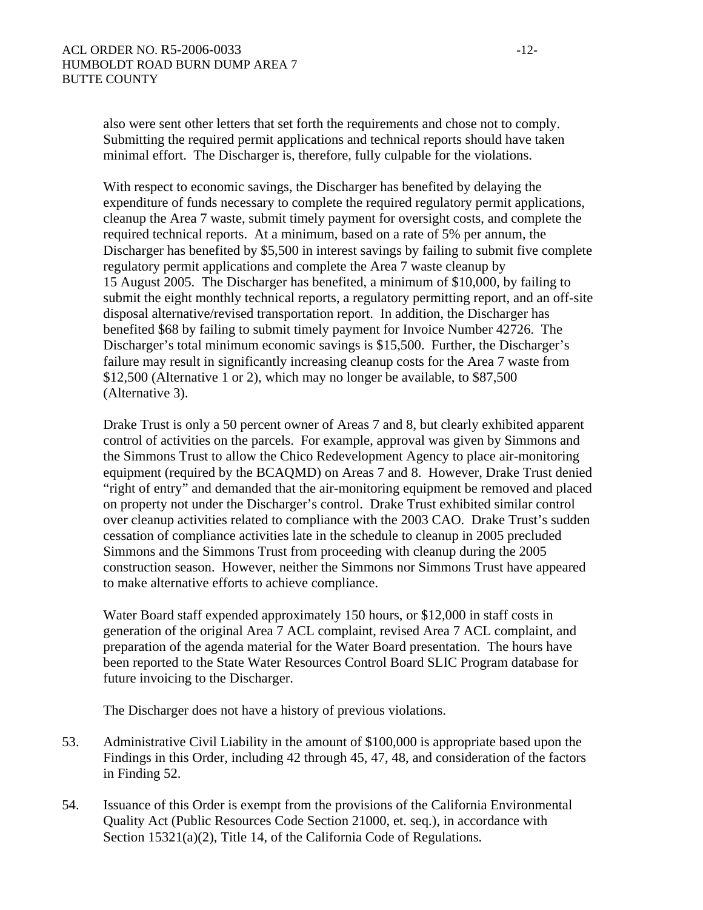also were sent other letters that set forth the requirements and chose not to comply. Submitting the required permit applications and technical reports should have taken minimal effort. The Discharger is, therefore, fully culpable for the violations.

With respect to economic savings, the Discharger has benefited by delaying the expenditure of funds necessary to complete the required regulatory permit applications, cleanup the Area 7 waste, submit timely payment for oversight costs, and complete the required technical reports. At a minimum, based on a rate of 5% per annum, the Discharger has benefited by \$5,500 in interest savings by failing to submit five complete regulatory permit applications and complete the Area 7 waste cleanup by 15 August 2005. The Discharger has benefited, a minimum of \$10,000, by failing to submit the eight monthly technical reports, a regulatory permitting report, and an off-site disposal alternative/revised transportation report. In addition, the Discharger has benefited \$68 by failing to submit timely payment for Invoice Number 42726. The Discharger's total minimum economic savings is \$15,500. Further, the Discharger's failure may result in significantly increasing cleanup costs for the Area 7 waste from \$12,500 (Alternative 1 or 2), which may no longer be available, to \$87,500 (Alternative 3).

Drake Trust is only a 50 percent owner of Areas 7 and 8, but clearly exhibited apparent control of activities on the parcels. For example, approval was given by Simmons and the Simmons Trust to allow the Chico Redevelopment Agency to place air-monitoring equipment (required by the BCAQMD) on Areas 7 and 8. However, Drake Trust denied "right of entry" and demanded that the air-monitoring equipment be removed and placed on property not under the Discharger's control. Drake Trust exhibited similar control over cleanup activities related to compliance with the 2003 CAO. Drake Trust's sudden cessation of compliance activities late in the schedule to cleanup in 2005 precluded Simmons and the Simmons Trust from proceeding with cleanup during the 2005 construction season. However, neither the Simmons nor Simmons Trust have appeared to make alternative efforts to achieve compliance.

Water Board staff expended approximately 150 hours, or \$12,000 in staff costs in generation of the original Area 7 ACL complaint, revised Area 7 ACL complaint, and preparation of the agenda material for the Water Board presentation. The hours have been reported to the State Water Resources Control Board SLIC Program database for future invoicing to the Discharger.

The Discharger does not have a history of previous violations.

- 53. Administrative Civil Liability in the amount of \$100,000 is appropriate based upon the Findings in this Order, including 42 through 45, 47, 48, and consideration of the factors in Finding 52.
- 54. Issuance of this Order is exempt from the provisions of the California Environmental Quality Act (Public Resources Code Section 21000, et. seq.), in accordance with Section 15321(a)(2), Title 14, of the California Code of Regulations.